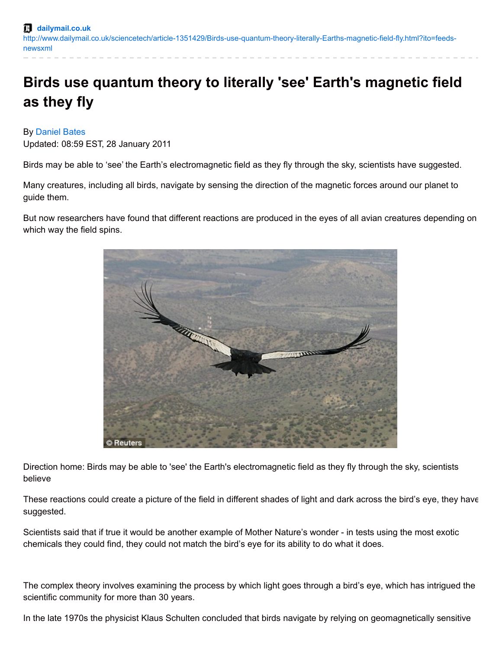## **Birds use quantum theory to literally 'see' Earth's magnetic field as they fly**

## By [Daniel](http://www.dailymail.co.uk/home/search.html?s=&authornamef=Daniel+Bates) Bates

Updated: 08:59 EST, 28 January 2011

Birds may be able to 'see' the Earth's electromagnetic field as they fly through the sky, scientists have suggested.

Many creatures, including all birds, navigate by sensing the direction of the magnetic forces around our planet to guide them.

But now researchers have found that different reactions are produced in the eyes of all avian creatures depending on which way the field spins.



Direction home: Birds may be able to 'see' the Earth's electromagnetic field as they fly through the sky, scientists believe

These reactions could create a picture of the field in different shades of light and dark across the bird's eye, they have suggested.

Scientists said that if true it would be another example of Mother Nature's wonder - in tests using the most exotic chemicals they could find, they could not match the bird's eye for its ability to do what it does.

The complex theory involves examining the process by which light goes through a bird's eye, which has intrigued the scientific community for more than 30 years.

In the late 1970s the physicist Klaus Schulten concluded that birds navigate by relying on geomagnetically sensitive